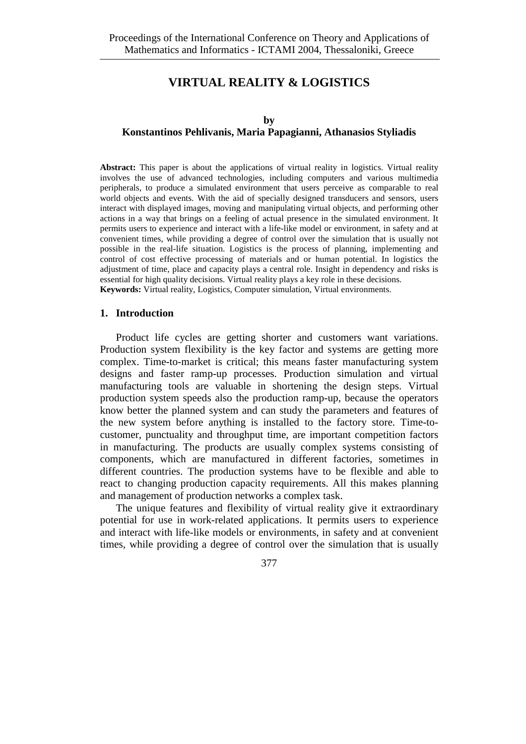# **VIRTUAL REALITY & LOGISTICS**

### **Konstantinos Pehlivanis, Maria Papagianni, Athanasios Styliadis**

**Abstract:** This paper is about the applications of virtual reality in logistics. Virtual reality involves the use of advanced technologies, including computers and various multimedia peripherals, to produce a simulated environment that users perceive as comparable to real world objects and events. With the aid of specially designed transducers and sensors, users interact with displayed images, moving and manipulating virtual objects, and performing other actions in a way that brings on a feeling of actual presence in the simulated environment. It permits users to experience and interact with a life-like model or environment, in safety and at convenient times, while providing a degree of control over the simulation that is usually not possible in the real-life situation. Logistics is the process of planning, implementing and control of cost effective processing of materials and or human potential. In logistics the adjustment of time, place and capacity plays a central role. Insight in dependency and risks is essential for high quality decisions. Virtual reality plays a key role in these decisions. **Keywords:** Virtual reality, Logistics, Computer simulation, Virtual environments.

#### **1. Introduction**

Product life cycles are getting shorter and customers want variations. Production system flexibility is the key factor and systems are getting more complex. Time-to-market is critical; this means faster manufacturing system designs and faster ramp-up processes. Production simulation and virtual manufacturing tools are valuable in shortening the design steps. Virtual production system speeds also the production ramp-up, because the operators know better the planned system and can study the parameters and features of the new system before anything is installed to the factory store. Time-tocustomer, punctuality and throughput time, are important competition factors in manufacturing. The products are usually complex systems consisting of components, which are manufactured in different factories, sometimes in different countries. The production systems have to be flexible and able to react to changing production capacity requirements. All this makes planning and management of production networks a complex task.

The unique features and flexibility of virtual reality give it extraordinary potential for use in work-related applications. It permits users to experience and interact with life-like models or environments, in safety and at convenient times, while providing a degree of control over the simulation that is usually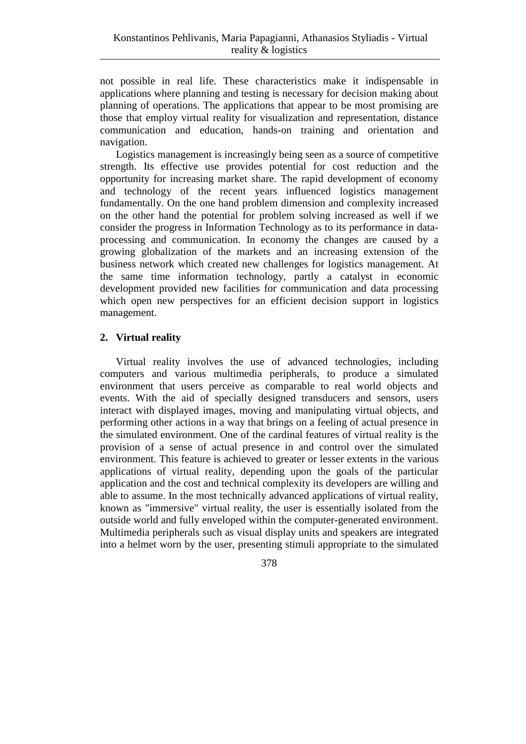not possible in real life. These characteristics make it indispensable in applications where planning and testing is necessary for decision making about planning of operations. The applications that appear to be most promising are those that employ virtual reality for visualization and representation, distance communication and education, hands-on training and orientation and navigation.

Logistics management is increasingly being seen as a source of competitive strength. Its effective use provides potential for cost reduction and the opportunity for increasing market share. The rapid development of economy and technology of the recent years influenced logistics management fundamentally. On the one hand problem dimension and complexity increased on the other hand the potential for problem solving increased as well if we consider the progress in Information Technology as to its performance in dataprocessing and communication. In economy the changes are caused by a growing globalization of the markets and an increasing extension of the business network which created new challenges for logistics management. At the same time information technology, partly a catalyst in economic development provided new facilities for communication and data processing which open new perspectives for an efficient decision support in logistics management.

## **2. Virtual reality**

Virtual reality involves the use of advanced technologies, including computers and various multimedia peripherals, to produce a simulated environment that users perceive as comparable to real world objects and events. With the aid of specially designed transducers and sensors, users interact with displayed images, moving and manipulating virtual objects, and performing other actions in a way that brings on a feeling of actual presence in the simulated environment. One of the cardinal features of virtual reality is the provision of a sense of actual presence in and control over the simulated environment. This feature is achieved to greater or lesser extents in the various applications of virtual reality, depending upon the goals of the particular application and the cost and technical complexity its developers are willing and able to assume. In the most technically advanced applications of virtual reality, known as "immersive" virtual reality, the user is essentially isolated from the outside world and fully enveloped within the computer-generated environment. Multimedia peripherals such as visual display units and speakers are integrated into a helmet worn by the user, presenting stimuli appropriate to the simulated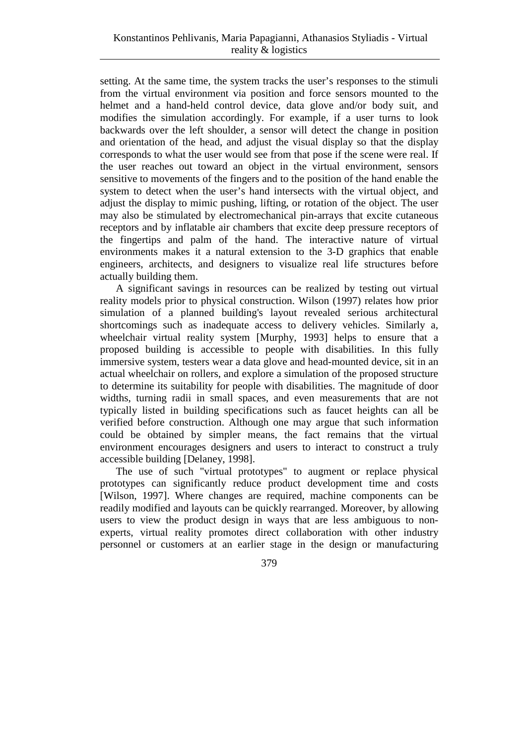setting. At the same time, the system tracks the user's responses to the stimuli from the virtual environment via position and force sensors mounted to the helmet and a hand-held control device, data glove and/or body suit, and modifies the simulation accordingly. For example, if a user turns to look backwards over the left shoulder, a sensor will detect the change in position and orientation of the head, and adjust the visual display so that the display corresponds to what the user would see from that pose if the scene were real. If the user reaches out toward an object in the virtual environment, sensors sensitive to movements of the fingers and to the position of the hand enable the system to detect when the user's hand intersects with the virtual object, and adjust the display to mimic pushing, lifting, or rotation of the object. The user may also be stimulated by electromechanical pin-arrays that excite cutaneous receptors and by inflatable air chambers that excite deep pressure receptors of the fingertips and palm of the hand. The interactive nature of virtual environments makes it a natural extension to the 3-D graphics that enable engineers, architects, and designers to visualize real life structures before actually building them.

A significant savings in resources can be realized by testing out virtual reality models prior to physical construction. Wilson (1997) relates how prior simulation of a planned building's layout revealed serious architectural shortcomings such as inadequate access to delivery vehicles. Similarly a, wheelchair virtual reality system [Murphy, 1993] helps to ensure that a proposed building is accessible to people with disabilities. In this fully immersive system, testers wear a data glove and head-mounted device, sit in an actual wheelchair on rollers, and explore a simulation of the proposed structure to determine its suitability for people with disabilities. The magnitude of door widths, turning radii in small spaces, and even measurements that are not typically listed in building specifications such as faucet heights can all be verified before construction. Although one may argue that such information could be obtained by simpler means, the fact remains that the virtual environment encourages designers and users to interact to construct a truly accessible building [Delaney, 1998].

The use of such "virtual prototypes" to augment or replace physical prototypes can significantly reduce product development time and costs [Wilson, 1997]. Where changes are required, machine components can be readily modified and layouts can be quickly rearranged. Moreover, by allowing users to view the product design in ways that are less ambiguous to nonexperts, virtual reality promotes direct collaboration with other industry personnel or customers at an earlier stage in the design or manufacturing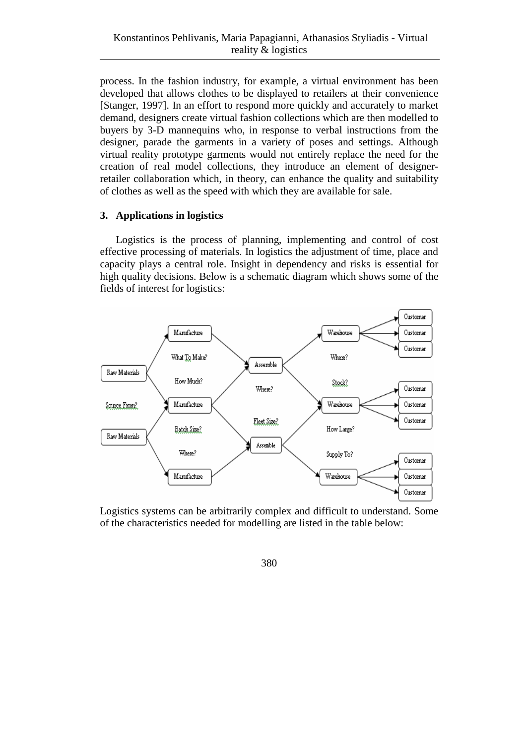process. In the fashion industry, for example, a virtual environment has been developed that allows clothes to be displayed to retailers at their convenience [Stanger, 1997]. In an effort to respond more quickly and accurately to market demand, designers create virtual fashion collections which are then modelled to buyers by 3-D mannequins who, in response to verbal instructions from the designer, parade the garments in a variety of poses and settings. Although virtual reality prototype garments would not entirely replace the need for the creation of real model collections, they introduce an element of designerretailer collaboration which, in theory, can enhance the quality and suitability of clothes as well as the speed with which they are available for sale.

## **3. Applications in logistics**

Logistics is the process of planning, implementing and control of cost effective processing of materials. In logistics the adjustment of time, place and capacity plays a central role. Insight in dependency and risks is essential for high quality decisions. Below is a schematic diagram which shows some of the fields of interest for logistics:



Logistics systems can be arbitrarily complex and difficult to understand. Some of the characteristics needed for modelling are listed in the table below: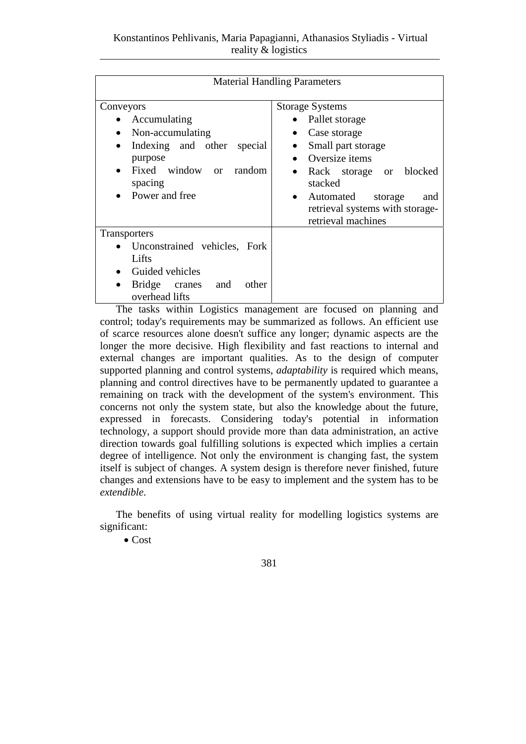| <b>Material Handling Parameters</b>                                                                                                                                                        |                                                                                                                                                                                                                                                  |
|--------------------------------------------------------------------------------------------------------------------------------------------------------------------------------------------|--------------------------------------------------------------------------------------------------------------------------------------------------------------------------------------------------------------------------------------------------|
| Conveyors<br>Accumulating<br>Non-accumulating<br>$\bullet$<br>Indexing and other<br>special<br>$\bullet$<br>purpose<br>Fixed window or<br>random<br>$\bullet$<br>spacing<br>Power and free | <b>Storage Systems</b><br>Pallet storage<br>Case storage<br>Small part storage<br>Oversize items<br>Rack storage or blocked<br>٠<br>stacked<br>Automated<br>storage<br>and<br>$\bullet$<br>retrieval systems with storage-<br>retrieval machines |
| <b>Transporters</b>                                                                                                                                                                        |                                                                                                                                                                                                                                                  |
| Unconstrained vehicles, Fork                                                                                                                                                               |                                                                                                                                                                                                                                                  |
| Lifts                                                                                                                                                                                      |                                                                                                                                                                                                                                                  |
| Guided vehicles                                                                                                                                                                            |                                                                                                                                                                                                                                                  |
| Bridge cranes<br>other<br>and<br>overhead lifts                                                                                                                                            |                                                                                                                                                                                                                                                  |

The tasks within Logistics management are focused on planning and control; today's requirements may be summarized as follows. An efficient use of scarce resources alone doesn't suffice any longer; dynamic aspects are the longer the more decisive. High flexibility and fast reactions to internal and external changes are important qualities. As to the design of computer supported planning and control systems, *adaptability* is required which means, planning and control directives have to be permanently updated to guarantee a remaining on track with the development of the system's environment. This concerns not only the system state, but also the knowledge about the future, expressed in forecasts. Considering today's potential in information technology, a support should provide more than data administration, an active direction towards goal fulfilling solutions is expected which implies a certain degree of intelligence. Not only the environment is changing fast, the system itself is subject of changes. A system design is therefore never finished, future changes and extensions have to be easy to implement and the system has to be *extendible*.

The benefits of using virtual reality for modelling logistics systems are significant:

• Cost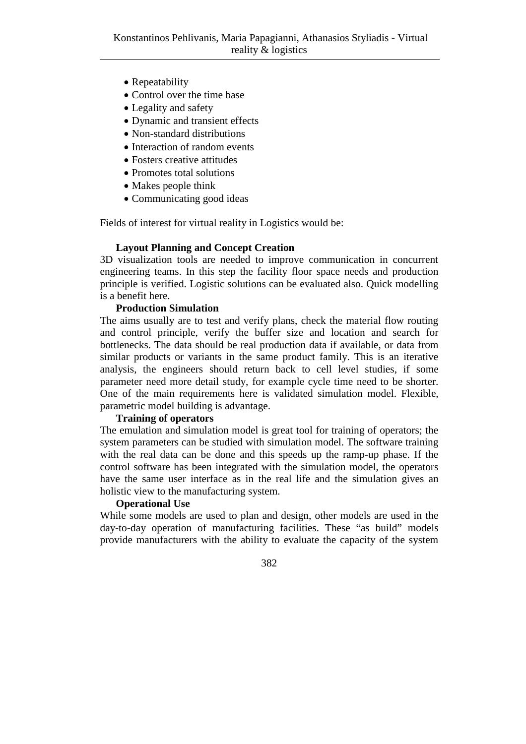- Repeatability
- Control over the time base
- Legality and safety
- Dynamic and transient effects
- Non-standard distributions
- Interaction of random events
- Fosters creative attitudes
- Promotes total solutions
- Makes people think
- Communicating good ideas

Fields of interest for virtual reality in Logistics would be:

#### **Layout Planning and Concept Creation**

3D visualization tools are needed to improve communication in concurrent engineering teams. In this step the facility floor space needs and production principle is verified. Logistic solutions can be evaluated also. Quick modelling is a benefit here.

### **Production Simulation**

The aims usually are to test and verify plans, check the material flow routing and control principle, verify the buffer size and location and search for bottlenecks. The data should be real production data if available, or data from similar products or variants in the same product family. This is an iterative analysis, the engineers should return back to cell level studies, if some parameter need more detail study, for example cycle time need to be shorter. One of the main requirements here is validated simulation model. Flexible, parametric model building is advantage.

### **Training of operators**

The emulation and simulation model is great tool for training of operators; the system parameters can be studied with simulation model. The software training with the real data can be done and this speeds up the ramp-up phase. If the control software has been integrated with the simulation model, the operators have the same user interface as in the real life and the simulation gives an holistic view to the manufacturing system.

#### **Operational Use**

While some models are used to plan and design, other models are used in the day-to-day operation of manufacturing facilities. These "as build" models provide manufacturers with the ability to evaluate the capacity of the system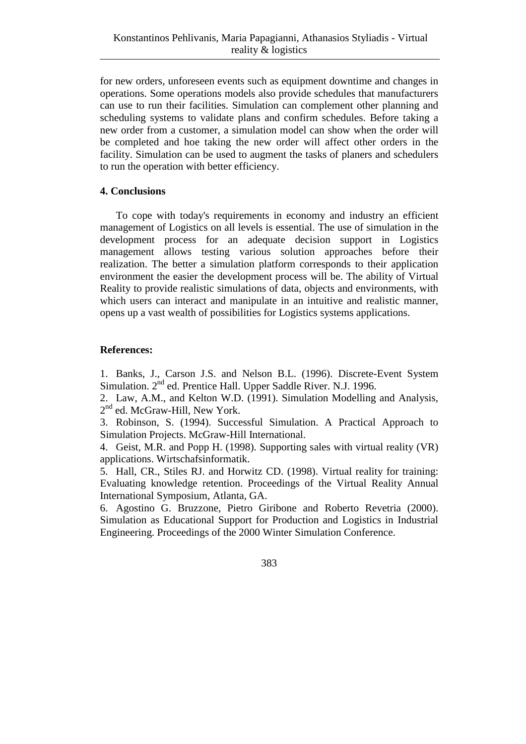for new orders, unforeseen events such as equipment downtime and changes in operations. Some operations models also provide schedules that manufacturers can use to run their facilities. Simulation can complement other planning and scheduling systems to validate plans and confirm schedules. Before taking a new order from a customer, a simulation model can show when the order will be completed and hoe taking the new order will affect other orders in the facility. Simulation can be used to augment the tasks of planers and schedulers to run the operation with better efficiency.

## **4. Conclusions**

To cope with today's requirements in economy and industry an efficient management of Logistics on all levels is essential. The use of simulation in the development process for an adequate decision support in Logistics management allows testing various solution approaches before their realization. The better a simulation platform corresponds to their application environment the easier the development process will be. The ability of Virtual Reality to provide realistic simulations of data, objects and environments, with which users can interact and manipulate in an intuitive and realistic manner, opens up a vast wealth of possibilities for Logistics systems applications.

## **References:**

1. Banks, J., Carson J.S. and Nelson B.L. (1996). Discrete-Event System Simulation. 2<sup>nd</sup> ed. Prentice Hall. Upper Saddle River. N.J. 1996.

2. Law, A.M., and Kelton W.D. (1991). Simulation Modelling and Analysis, 2<sup>nd</sup> ed. McGraw-Hill, New York.

3. Robinson, S. (1994). Successful Simulation. A Practical Approach to Simulation Projects. McGraw-Hill International.

4. Geist, M.R. and Popp H. (1998). Supporting sales with virtual reality (VR) applications. Wirtschafsinformatik.

5. Hall, CR., Stiles RJ. and Horwitz CD. (1998). Virtual reality for training: Evaluating knowledge retention. Proceedings of the Virtual Reality Annual International Symposium, Atlanta, GA.

6. Agostino G. Bruzzone, Pietro Giribone and Roberto Revetria (2000). Simulation as Educational Support for Production and Logistics in Industrial Engineering. Proceedings of the 2000 Winter Simulation Conference.